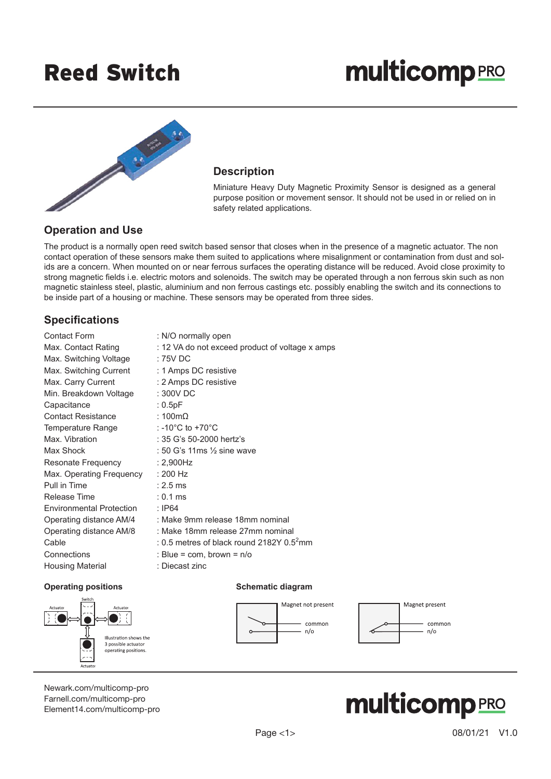## Reed Switch

# **multicomp**PRO



#### **Description**

Miniature Heavy Duty Magnetic Proximity Sensor is designed as a general purpose position or movement sensor. It should not be used in or relied on in safety related applications.

#### **Operation and Use**

The product is a normally open reed switch based sensor that closes when in the presence of a magnetic actuator. The non contact operation of these sensors make them suited to applications where misalignment or contamination from dust and solids are a concern. When mounted on or near ferrous surfaces the operating distance will be reduced. Avoid close proximity to strong magnetic fields i.e. electric motors and solenoids. The switch may be operated through a non ferrous skin such as non magnetic stainless steel, plastic, aluminium and non ferrous castings etc. possibly enabling the switch and its connections to be inside part of a housing or machine. These sensors may be operated from three sides.

#### **Specifications**

| <b>Contact Form</b>      | : N/O normally open                             |
|--------------------------|-------------------------------------------------|
| Max. Contact Rating      | : 12 VA do not exceed product of voltage x amps |
| Max. Switching Voltage   | : 75V DC                                        |
| Max. Switching Current   | : 1 Amps DC resistive                           |
| Max. Carry Current       | : 2 Amps DC resistive                           |
| Min. Breakdown Voltage   | $:300V$ DC                                      |
| Capacitance              | : 0.5pF                                         |
| Contact Resistance       | : 100 $m\Omega$                                 |
| Temperature Range        | : -10 $^{\circ}$ C to +70 $^{\circ}$ C          |
| Max. Vibration           | : 35 G's 50-2000 hertz's                        |
| Max Shock                | : 50 G's 11ms $\frac{1}{2}$ sine wave           |
| Resonate Frequency       | $: 2,900$ Hz                                    |
| Max. Operating Frequency | : 200 Hz                                        |
| Pull in Time             | $: 2.5 \text{ ms}$                              |
| Release Time             | $: 0.1 \text{ ms}$                              |
| Environmental Protection | : IP64                                          |
| Operating distance AM/4  | : Make 9mm release 18mm nominal                 |
| Operating distance AM/8  | : Make 18mm release 27mm nominal                |
| Cable                    | : 0.5 metres of black round 2182Y $0.52$ mm     |
| Connections              | : Blue = com, brown = $n/o$                     |
| <b>Housing Material</b>  | : Diecast zinc                                  |

#### **Operating positions COPER 1999 COPER 1999 Schematic diagram**







[Newark.com/multicomp-](https://www.newark.com/multicomp-pro)pro [Farnell.com/multicomp](https://www.farnell.com/multicomp-pro)-pro [Element14.com/multicomp-pro](https://element14.com/multicomp-pro)